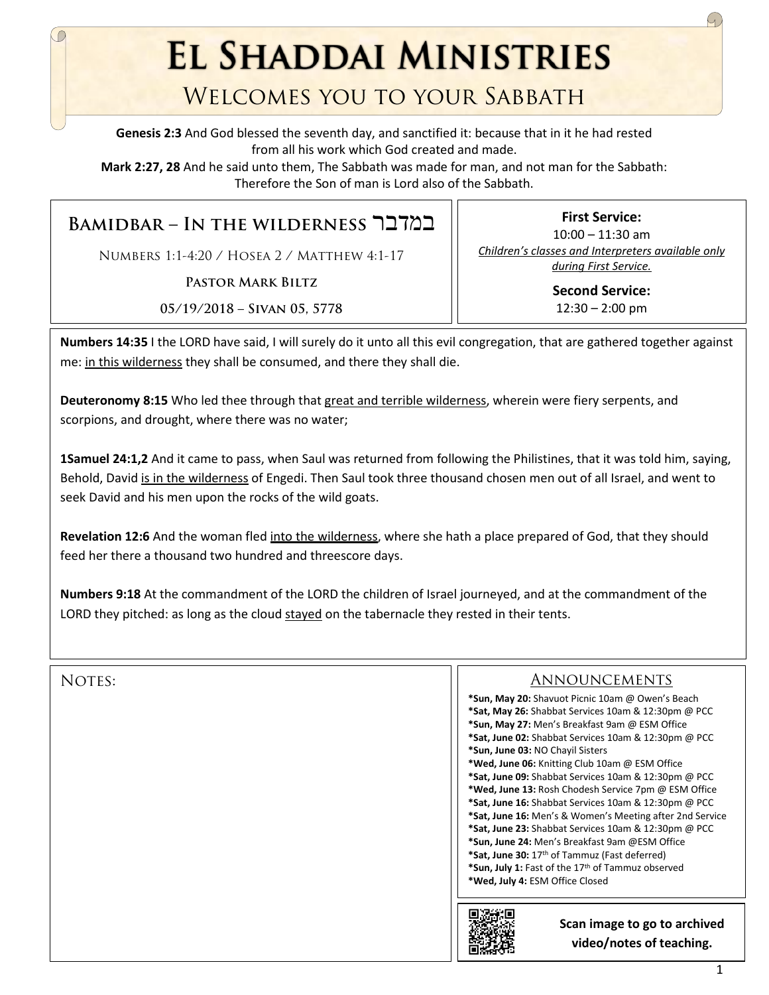**EL SHADDAI MINISTRIES** 

## Welcomes you to your Sabbath

**Genesis 2:3** And God blessed the seventh day, and sanctified it: because that in it he had rested from all his work which God created and made.

**Mark 2:27, 28** And he said unto them, The Sabbath was made for man, and not man for the Sabbath: Therefore the Son of man is Lord also of the Sabbath.

**Bamidbar – In the wilderness** במדבר

Numbers 1:1-4:20 / Hosea 2 / Matthew 4:1-17

**Pastor Mark Biltz**

**05/19/2018 – Sivan 05, 5778**

**First Service:**  10:00 – 11:30 am *Children's classes and Interpreters available only during First Service.*

> **Second Service:**   $12:30 - 2:00$  pm

**Numbers 14:35** I the LORD have said, I will surely do it unto all this evil congregation, that are gathered together against me: in this wilderness they shall be consumed, and there they shall die.

**Deuteronomy 8:15** Who led thee through that great and terrible wilderness, wherein were fiery serpents, and scorpions, and drought, where there was no water;

**1Samuel 24:1,2** And it came to pass, when Saul was returned from following the Philistines, that it was told him, saying, Behold, David is in the wilderness of Engedi. Then Saul took three thousand chosen men out of all Israel, and went to seek David and his men upon the rocks of the wild goats.

**Revelation 12:6** And the woman fled into the wilderness, where she hath a place prepared of God, that they should feed her there a thousand two hundred and threescore days.

**Numbers 9:18** At the commandment of the LORD the children of Israel journeyed, and at the commandment of the LORD they pitched: as long as the cloud stayed on the tabernacle they rested in their tents.

| NOTES: | <b>ANNOUNCEMENTS</b>                                     |
|--------|----------------------------------------------------------|
|        | *Sun, May 20: Shavuot Picnic 10am @ Owen's Beach         |
|        | *Sat, May 26: Shabbat Services 10am & 12:30pm @ PCC      |
|        | *Sun, May 27: Men's Breakfast 9am @ ESM Office           |
|        | *Sat, June 02: Shabbat Services 10am & 12:30pm @ PCC     |
|        | *Sun, June 03: NO Chayil Sisters                         |
|        | *Wed, June 06: Knitting Club 10am @ ESM Office           |
|        | *Sat, June 09: Shabbat Services 10am & 12:30pm @ PCC     |
|        | *Wed, June 13: Rosh Chodesh Service 7pm @ ESM Office     |
|        | *Sat, June 16: Shabbat Services 10am & 12:30pm @ PCC     |
|        | *Sat, June 16: Men's & Women's Meeting after 2nd Service |
|        | *Sat, June 23: Shabbat Services 10am & 12:30pm @ PCC     |
|        | *Sun, June 24: Men's Breakfast 9am @ESM Office           |
|        | *Sat, June 30: 17th of Tammuz (Fast deferred)            |
|        | *Sun, July 1: Fast of the 17th of Tammuz observed        |
|        | *Wed, July 4: ESM Office Closed                          |
|        |                                                          |
|        | Scan image to go to archived<br>video/notes of teaching. |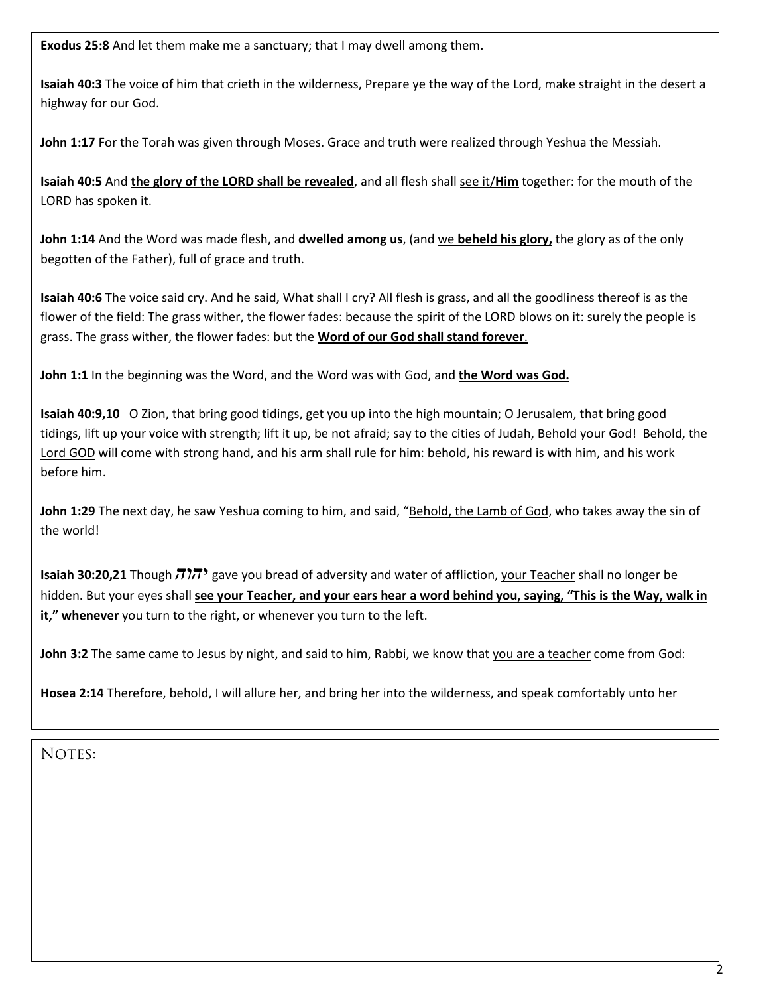**Exodus 25:8** And let them make me a sanctuary; that I may dwell among them.

**Isaiah 40:3** The voice of him that crieth in the wilderness, Prepare ye the way of the Lord, make straight in the desert a highway for our God.

**John 1:17** For the Torah was given through Moses. Grace and truth were realized through Yeshua the Messiah.

**Isaiah 40:5** And **the glory of the LORD shall be revealed**, and all flesh shall see it/**Him** together: for the mouth of the LORD has spoken it.

**John 1:14** And the Word was made flesh, and **dwelled among us**, (and we **beheld his glory,** the glory as of the only begotten of the Father), full of grace and truth.

**Isaiah 40:6** The voice said cry. And he said, What shall I cry? All flesh is grass, and all the goodliness thereof is as the flower of the field: The grass wither, the flower fades: because the spirit of the LORD blows on it: surely the people is grass. The grass wither, the flower fades: but the **Word of our God shall stand forever**.

**John 1:1** In the beginning was the Word, and the Word was with God, and **the Word was God.**

**Isaiah 40:9,10** O Zion, that bring good tidings, get you up into the high mountain; O Jerusalem, that bring good tidings, lift up your voice with strength; lift it up, be not afraid; say to the cities of Judah, Behold your God! Behold, the Lord GOD will come with strong hand, and his arm shall rule for him: behold, his reward is with him, and his work before him.

**John 1:29** The next day, he saw Yeshua coming to him, and said, "Behold, the Lamb of God, who takes away the sin of the world!

**Isaiah 30:20,21** Though *יהוה* gave you bread of adversity and water of affliction, your Teacher shall no longer be hidden. But your eyes shall **see your Teacher, and your ears hear a word behind you, saying, "This is the Way, walk in**  it," whenever you turn to the right, or whenever you turn to the left.

**John 3:2** The same came to Jesus by night, and said to him, Rabbi, we know that you are a teacher come from God:

**Hosea 2:14** Therefore, behold, I will allure her, and bring her into the wilderness, and speak comfortably unto her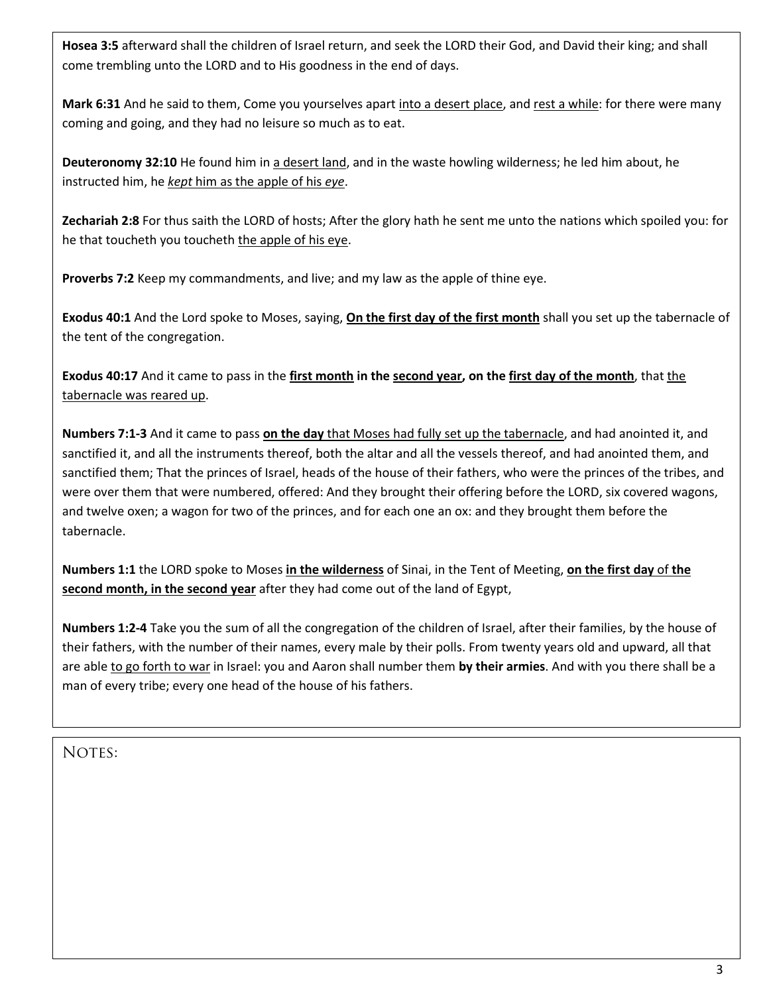**Hosea 3:5** afterward shall the children of Israel return, and seek the LORD their God, and David their king; and shall come trembling unto the LORD and to His goodness in the end of days.

**Mark 6:31** And he said to them, Come you yourselves apart into a desert place, and rest a while: for there were many coming and going, and they had no leisure so much as to eat.

**Deuteronomy 32:10** He found him in a desert land, and in the waste howling wilderness; he led him about, he instructed him, he *kept* him as the apple of his *eye*.

**Zechariah 2:8** For thus saith the LORD of hosts; After the glory hath he sent me unto the nations which spoiled you: for he that toucheth you toucheth the apple of his eye.

**Proverbs 7:2** Keep my commandments, and live; and my law as the apple of thine eye.

**Exodus 40:1** And the Lord spoke to Moses, saying, **On the first day of the first month** shall you set up the tabernacle of the tent of the congregation.

**Exodus 40:17** And it came to pass in the **first month in the second year, on the first day of the month**, that the tabernacle was reared up.

**Numbers 7:1-3** And it came to pass **on the day** that Moses had fully set up the tabernacle, and had anointed it, and sanctified it, and all the instruments thereof, both the altar and all the vessels thereof, and had anointed them, and sanctified them; That the princes of Israel, heads of the house of their fathers, who were the princes of the tribes, and were over them that were numbered, offered: And they brought their offering before the LORD, six covered wagons, and twelve oxen; a wagon for two of the princes, and for each one an ox: and they brought them before the tabernacle.

**Numbers 1:1** the LORD spoke to Moses **in the wilderness** of Sinai, in the Tent of Meeting, **on the first day** of **the second month, in the second year** after they had come out of the land of Egypt,

**Numbers 1:2-4** Take you the sum of all the congregation of the children of Israel, after their families, by the house of their fathers, with the number of their names, every male by their polls. From twenty years old and upward, all that are able to go forth to war in Israel: you and Aaron shall number them **by their armies**. And with you there shall be a man of every tribe; every one head of the house of his fathers.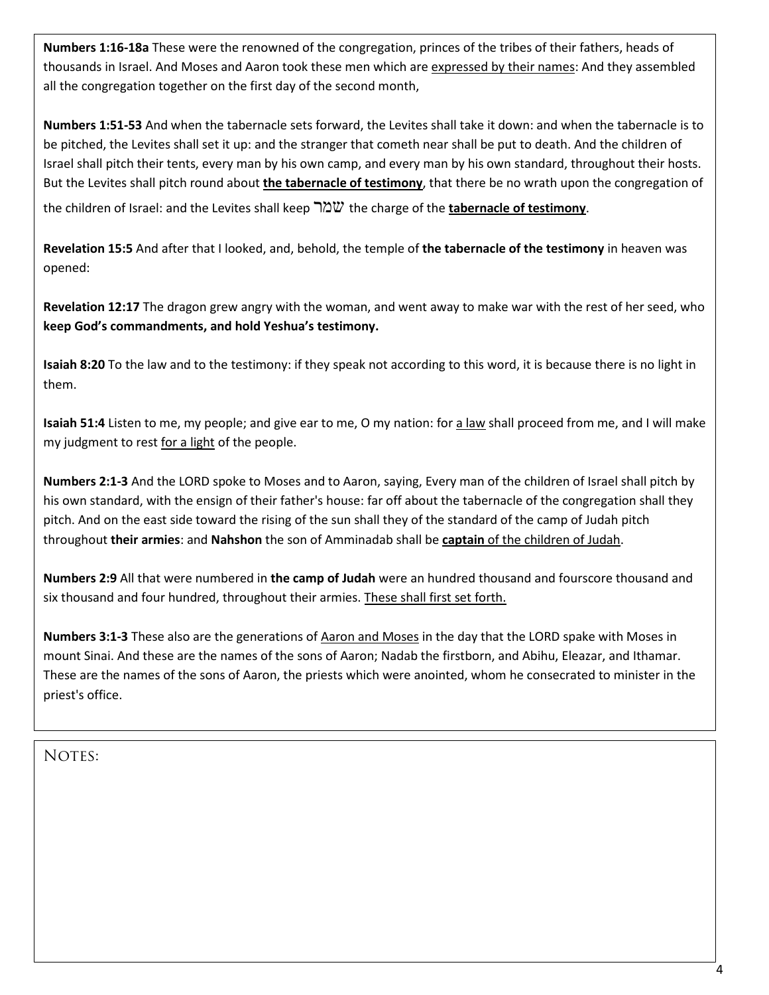**Numbers 1:16-18a** These were the renowned of the congregation, princes of the tribes of their fathers, heads of thousands in Israel. And Moses and Aaron took these men which are expressed by their names: And they assembled all the congregation together on the first day of the second month,

**Numbers 1:51-53** And when the tabernacle sets forward, the Levites shall take it down: and when the tabernacle is to be pitched, the Levites shall set it up: and the stranger that cometh near shall be put to death. And the children of Israel shall pitch their tents, every man by his own camp, and every man by his own standard, throughout their hosts. But the Levites shall pitch round about **the tabernacle of testimony**, that there be no wrath upon the congregation of the children of Israel: and the Levites shall keep שמר the charge of the **tabernacle of testimony**.

**Revelation 15:5** And after that I looked, and, behold, the temple of **the tabernacle of the testimony** in heaven was opened:

**Revelation 12:17** The dragon grew angry with the woman, and went away to make war with the rest of her seed, who **keep God's commandments, and hold Yeshua's testimony.** 

**Isaiah 8:20** To the law and to the testimony: if they speak not according to this word, it is because there is no light in them.

**Isaiah 51:4** Listen to me, my people; and give ear to me, O my nation: for a law shall proceed from me, and I will make my judgment to rest for a light of the people.

**Numbers 2:1-3** And the LORD spoke to Moses and to Aaron, saying, Every man of the children of Israel shall pitch by his own standard, with the ensign of their father's house: far off about the tabernacle of the congregation shall they pitch. And on the east side toward the rising of the sun shall they of the standard of the camp of Judah pitch throughout **their armies**: and **Nahshon** the son of Amminadab shall be **captain** of the children of Judah.

**Numbers 2:9** All that were numbered in **the camp of Judah** were an hundred thousand and fourscore thousand and six thousand and four hundred, throughout their armies. These shall first set forth.

**Numbers 3:1-3** These also are the generations of Aaron and Moses in the day that the LORD spake with Moses in mount Sinai. And these are the names of the sons of Aaron; Nadab the firstborn, and Abihu, Eleazar, and Ithamar. These are the names of the sons of Aaron, the priests which were anointed, whom he consecrated to minister in the priest's office.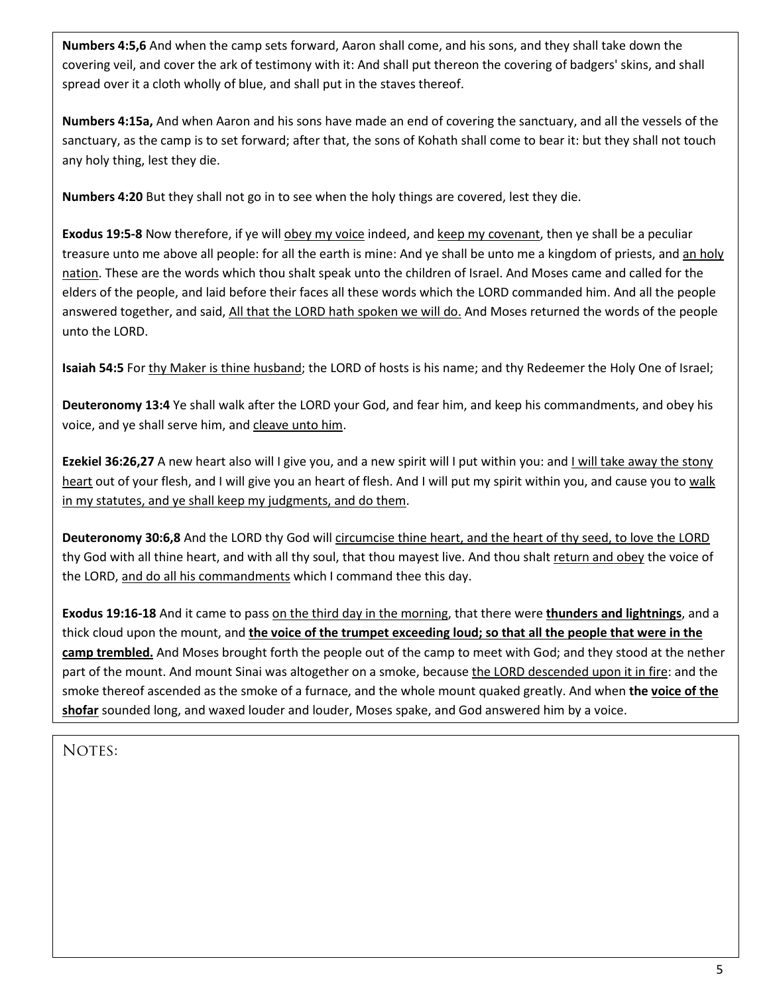**Numbers 4:5,6** And when the camp sets forward, Aaron shall come, and his sons, and they shall take down the covering veil, and cover the ark of testimony with it: And shall put thereon the covering of badgers' skins, and shall spread over it a cloth wholly of blue, and shall put in the staves thereof.

**Numbers 4:15a,** And when Aaron and his sons have made an end of covering the sanctuary, and all the vessels of the sanctuary, as the camp is to set forward; after that, the sons of Kohath shall come to bear it: but they shall not touch any holy thing, lest they die.

**Numbers 4:20** But they shall not go in to see when the holy things are covered, lest they die.

**Exodus 19:5-8** Now therefore, if ye will obey my voice indeed, and keep my covenant, then ye shall be a peculiar treasure unto me above all people: for all the earth is mine: And ye shall be unto me a kingdom of priests, and an holy nation. These are the words which thou shalt speak unto the children of Israel. And Moses came and called for the elders of the people, and laid before their faces all these words which the LORD commanded him. And all the people answered together, and said, All that the LORD hath spoken we will do. And Moses returned the words of the people unto the LORD.

**Isaiah 54:5** For thy Maker is thine husband; the LORD of hosts is his name; and thy Redeemer the Holy One of Israel;

**Deuteronomy 13:4** Ye shall walk after the LORD your God, and fear him, and keep his commandments, and obey his voice, and ye shall serve him, and cleave unto him.

**Ezekiel 36:26,27** A new heart also will I give you, and a new spirit will I put within you: and I will take away the stony heart out of your flesh, and I will give you an heart of flesh. And I will put my spirit within you, and cause you to walk in my statutes, and ye shall keep my judgments, and do them.

**Deuteronomy 30:6,8** And the LORD thy God will circumcise thine heart, and the heart of thy seed, to love the LORD thy God with all thine heart, and with all thy soul, that thou mayest live. And thou shalt return and obey the voice of the LORD, and do all his commandments which I command thee this day.

**Exodus 19:16-18** And it came to pass on the third day in the morning, that there were **thunders and lightnings**, and a thick cloud upon the mount, and **the voice of the trumpet exceeding loud; so that all the people that were in the camp trembled.** And Moses brought forth the people out of the camp to meet with God; and they stood at the nether part of the mount. And mount Sinai was altogether on a smoke, because the LORD descended upon it in fire: and the smoke thereof ascended as the smoke of a furnace, and the whole mount quaked greatly. And when **the voice of the shofar** sounded long, and waxed louder and louder, Moses spake, and God answered him by a voice.